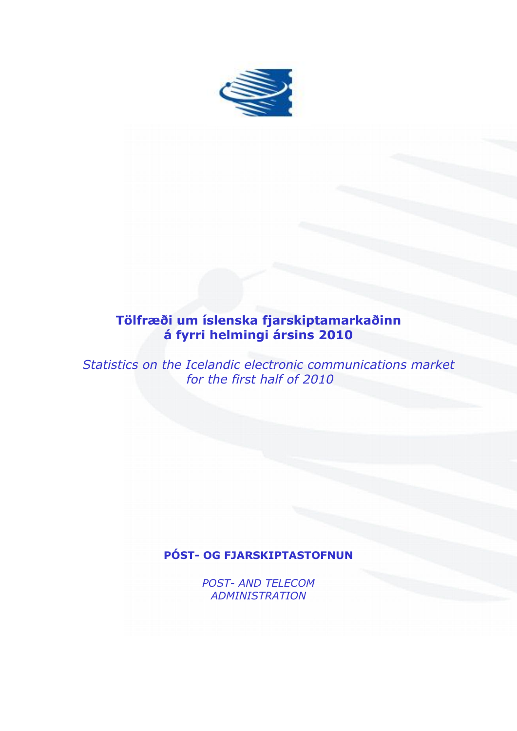

# **Tölfræði um íslenska fjarskiptamarkaðinn á fyrri helmingi ársins 2010**

*Statistics on the Icelandic electronic communications market for the first half of 2010*

## **PÓST- OG FJARSKIPTASTOFNUN**

*POST- AND TELECOM ADMINISTRATION*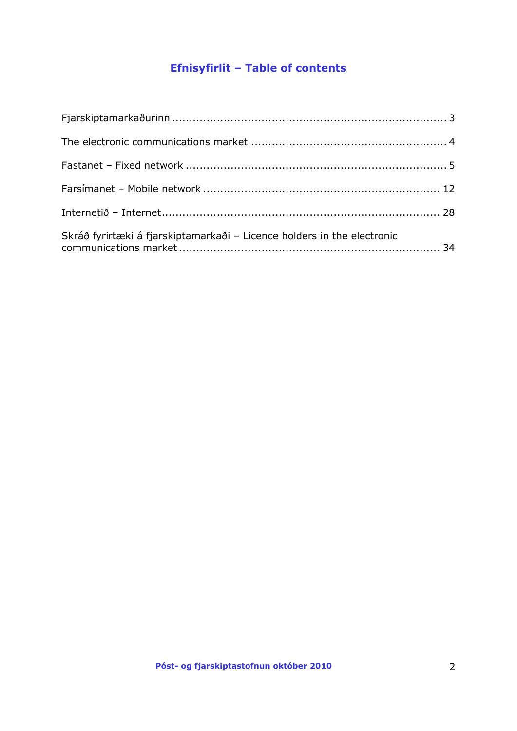# **Efnisyfirlit – Table of contents**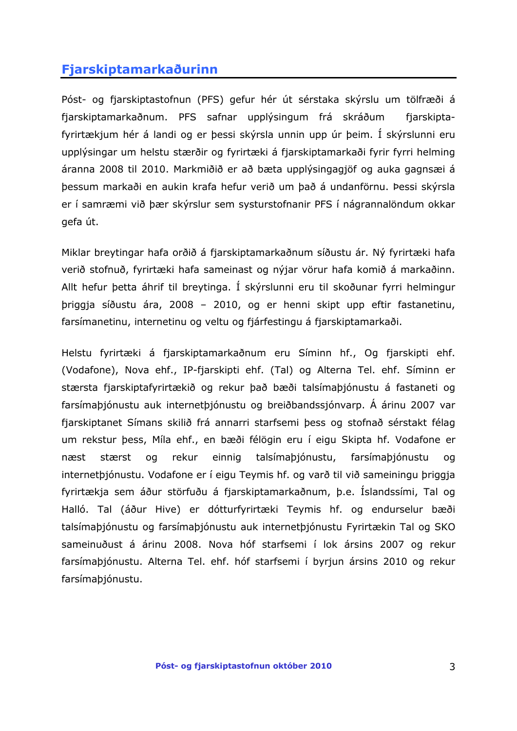## <span id="page-2-0"></span>**Fjarskiptamarkaðurinn**

Póst- og fjarskiptastofnun (PFS) gefur hér út sérstaka skýrslu um tölfræði á fjarskiptamarkaðnum. PFS safnar upplýsingum frá skráðum fjarskiptafyrirtækjum hér á landi og er þessi skýrsla unnin upp úr þeim. Í skýrslunni eru upplýsingar um helstu stærðir og fyrirtæki á fjarskiptamarkaði fyrir fyrri helming áranna 2008 til 2010. Markmiðið er að bæta upplýsingagjöf og auka gagnsæi á þessum markaði en aukin krafa hefur verið um það á undanförnu. Þessi skýrsla er í samræmi við þær skýrslur sem systurstofnanir PFS í nágrannalöndum okkar gefa út.

Miklar breytingar hafa orðið á fjarskiptamarkaðnum síðustu ár. Ný fyrirtæki hafa verið stofnuð, fyrirtæki hafa sameinast og nýjar vörur hafa komið á markaðinn. Allt hefur þetta áhrif til breytinga. Í skýrslunni eru til skoðunar fyrri helmingur þriggja síðustu ára, 2008 – 2010, og er henni skipt upp eftir fastanetinu, farsímanetinu, internetinu og veltu og fjárfestingu á fjarskiptamarkaði.

Helstu fyrirtæki á fjarskiptamarkaðnum eru Síminn hf., Og fjarskipti ehf. (Vodafone), Nova ehf., IP-fjarskipti ehf. (Tal) og Alterna Tel. ehf. Síminn er stærsta fjarskiptafyrirtækið og rekur það bæði talsímaþjónustu á fastaneti og farsímaþjónustu auk internetþjónustu og breiðbandssjónvarp. Á árinu 2007 var fjarskiptanet Símans skilið frá annarri starfsemi þess og stofnað sérstakt félag um rekstur þess, Míla ehf., en bæði félögin eru í eigu Skipta hf. Vodafone er næst stærst og rekur einnig talsímaþjónustu, farsímaþjónustu og internetþjónustu. Vodafone er í eigu Teymis hf. og varð til við sameiningu þriggja fyrirtækja sem áður störfuðu á fjarskiptamarkaðnum, þ.e. Íslandssími, Tal og Halló. Tal (áður Hive) er dótturfyrirtæki Teymis hf. og endurselur bæði talsímaþjónustu og farsímaþjónustu auk internetþjónustu Fyrirtækin Tal og SKO sameinuðust á árinu 2008. Nova hóf starfsemi í lok ársins 2007 og rekur farsímaþjónustu. Alterna Tel. ehf. hóf starfsemi í byrjun ársins 2010 og rekur farsímaþjónustu.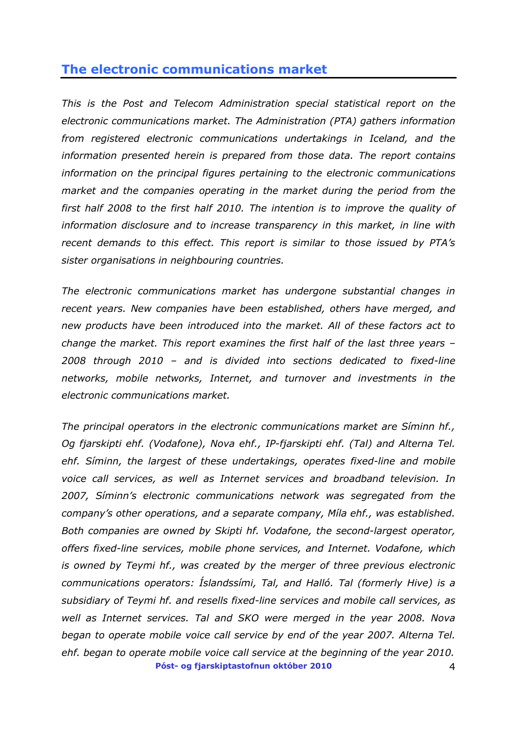## <span id="page-3-0"></span>**The electronic communications market**

*This is the Post and Telecom Administration special statistical report on the electronic communications market. The Administration (PTA) gathers information from registered electronic communications undertakings in Iceland, and the information presented herein is prepared from those data. The report contains information on the principal figures pertaining to the electronic communications market and the companies operating in the market during the period from the first half 2008 to the first half 2010. The intention is to improve the quality of information disclosure and to increase transparency in this market, in line with recent demands to this effect. This report is similar to those issued by PTA's sister organisations in neighbouring countries.* 

*The electronic communications market has undergone substantial changes in recent years. New companies have been established, others have merged, and new products have been introduced into the market. All of these factors act to change the market. This report examines the first half of the last three years – 2008 through 2010 – and is divided into sections dedicated to fixed-line networks, mobile networks, Internet, and turnover and investments in the electronic communications market.* 

**Póst- og fjarskiptastofnun október 2010** 4 *The principal operators in the electronic communications market are Síminn hf., Og fjarskipti ehf. (Vodafone), Nova ehf., IP-fjarskipti ehf. (Tal) and Alterna Tel. ehf. Síminn, the largest of these undertakings, operates fixed-line and mobile voice call services, as well as Internet services and broadband television. In 2007, Síminn's electronic communications network was segregated from the company's other operations, and a separate company, Míla ehf., was established. Both companies are owned by Skipti hf. Vodafone, the second-largest operator, offers fixed-line services, mobile phone services, and Internet. Vodafone, which is owned by Teymi hf., was created by the merger of three previous electronic communications operators: Íslandssími, Tal, and Halló. Tal (formerly Hive) is a subsidiary of Teymi hf. and resells fixed-line services and mobile call services, as well as Internet services. Tal and SKO were merged in the year 2008. Nova began to operate mobile voice call service by end of the year 2007. Alterna Tel. ehf. began to operate mobile voice call service at the beginning of the year 2010.*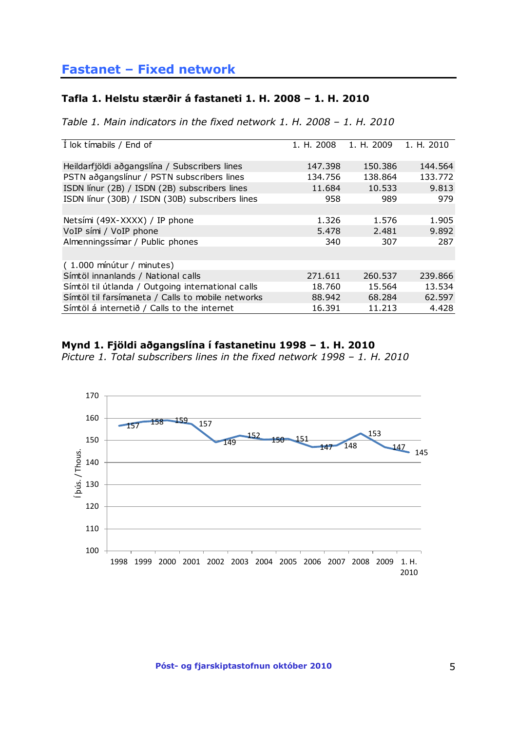## <span id="page-4-0"></span>**Fastanet – Fixed network**

### **Tafla 1. Helstu stærðir á fastaneti 1. H. 2008 – 1. H. 2010**

*Table 1. Main indicators in the fixed network 1. H. 2008 – 1. H. 2010*

| Í lok tímabils / End of                           | 1, H. 2008 | 1. H. 2009 | 1. H. 2010 |
|---------------------------------------------------|------------|------------|------------|
| Heildarfjöldi aðgangslína / Subscribers lines     | 147.398    | 150.386    | 144.564    |
| PSTN aðgangslínur / PSTN subscribers lines        | 134.756    | 138.864    | 133.772    |
| ISDN línur (2B) / ISDN (2B) subscribers lines     | 11.684     | 10.533     | 9.813      |
| ISDN línur (30B) / ISDN (30B) subscribers lines   | 958        | 989        | 979        |
|                                                   |            |            |            |
| Netsími (49X-XXXX) / IP phone                     | 1.326      | 1.576      | 1.905      |
| VoIP sími / VoIP phone                            | 5.478      | 2.481      | 9.892      |
| Almenningssímar / Public phones                   | 340        | 307        | 287        |
|                                                   |            |            |            |
| (1.000 mínútur / minutes)                         |            |            |            |
| Símtöl innanlands / National calls                | 271.611    | 260.537    | 239.866    |
| Símtöl til útlanda / Outgoing international calls | 18.760     | 15.564     | 13.534     |
| Símtöl til farsímaneta / Calls to mobile networks | 88.942     | 68.284     | 62.597     |
| Símtöl á internetið / Calls to the internet       | 16.391     | 11.213     | 4.428      |

### **Mynd 1. Fjöldi aðgangslína í fastanetinu 1998 – 1. H. 2010**

*Picture 1. Total subscribers lines in the fixed network 1998 – 1. H. 2010*

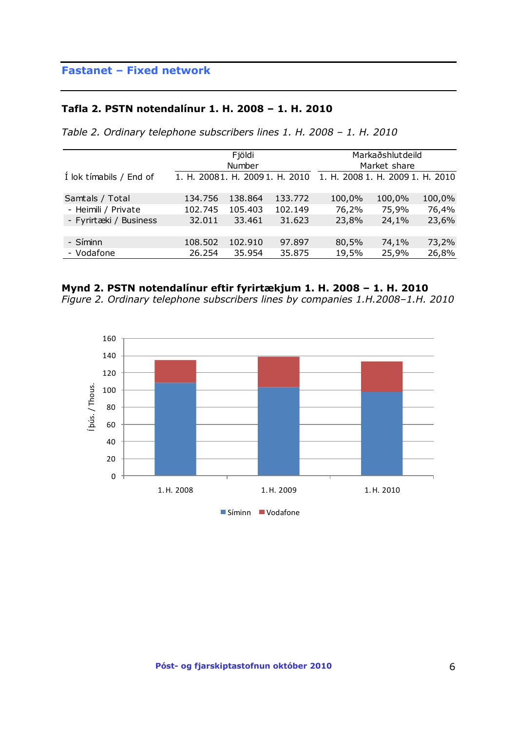#### **Tafla 2. PSTN notendalínur 1. H. 2008 – 1. H. 2010**

*Table 2. Ordinary telephone subscribers lines 1. H. 2008 – 1. H. 2010*

|                         |                                | Fjöldi  |         |                                  | Markaðshlutdeild |        |
|-------------------------|--------------------------------|---------|---------|----------------------------------|------------------|--------|
|                         |                                | Number  |         |                                  | Market share     |        |
| Í lok tímabils / End of | 1. H. 20081. H. 20091. H. 2010 |         |         | 1. H. 2008 1. H. 2009 1. H. 2010 |                  |        |
| Samtals / Total         | 134.756                        | 138,864 | 133,772 | 100,0%                           | 100,0%           | 100,0% |
| - Heimili / Private     | 102.745                        | 105.403 | 102.149 | 76,2%                            | 75,9%            | 76,4%  |
| - Fyrirtæki / Business  | 32.011                         | 33.461  | 31.623  | 23,8%                            | 24,1%            | 23,6%  |
|                         |                                |         |         |                                  |                  |        |
| - Síminn                | 108.502                        | 102.910 | 97.897  | 80,5%                            | 74,1%            | 73,2%  |
| - Vodafone              | 26.254                         | 35.954  | 35.875  | 19,5%                            | 25,9%            | 26,8%  |



*Figure 2. Ordinary telephone subscribers lines by companies 1.H.2008–1.H. 2010*

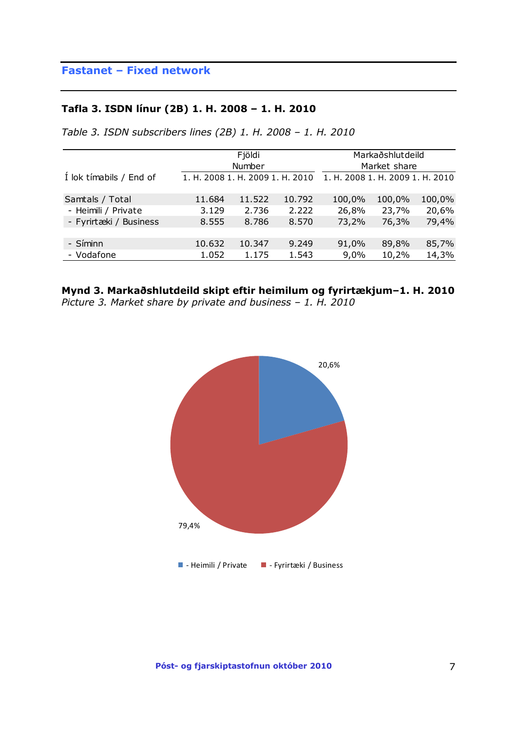## **Fastanet – Fixed network**

### **Tafla 3. ISDN línur (2B) 1. H. 2008 – 1. H. 2010**

*Table 3. ISDN subscribers lines (2B) 1. H. 2008 – 1. H. 2010*

|                         |                                  | Fjöldi<br>Number |        |                                  | Markaðshlutdeild<br>Market share |        |
|-------------------------|----------------------------------|------------------|--------|----------------------------------|----------------------------------|--------|
| Í lok tímabils / End of | 1. H. 2008 1. H. 2009 1. H. 2010 |                  |        | 1. H. 2008 1. H. 2009 1. H. 2010 |                                  |        |
| Samtals / Total         | 11.684                           | 11.522           | 10.792 | 100,0%                           | 100,0%                           | 100,0% |
| - Heimili / Private     | 3.129                            | 2.736            | 2.222  | 26,8%                            | 23,7%                            | 20,6%  |
| - Fyrirtæki / Business  | 8.555                            | 8.786            | 8.570  | 73,2%                            | 76,3%                            | 79,4%  |
|                         |                                  |                  |        |                                  |                                  |        |
| - Síminn                | 10.632                           | 10.347           | 9.249  | 91,0%                            | 89,8%                            | 85,7%  |
| - Vodafone              | 1.052                            | 1.175            | 1.543  | 9,0%                             | 10,2%                            | 14,3%  |

**Mynd 3. Markaðshlutdeild skipt eftir heimilum og fyrirtækjum–1. H. 2010** *Picture 3. Market share by private and business – 1. H. 2010*

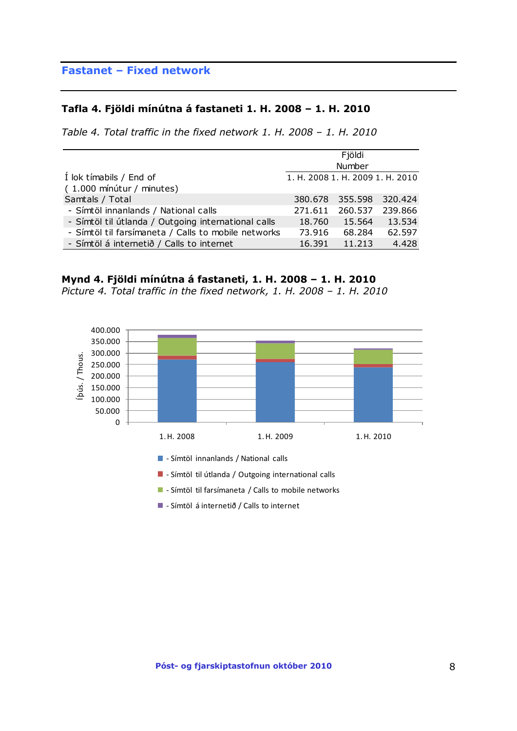## **Fastanet – Fixed network**

#### **Tafla 4. Fjöldi mínútna á fastaneti 1. H. 2008 – 1. H. 2010**

*Table 4. Total traffic in the fixed network 1. H. 2008 – 1. H. 2010*

|                                                     |                                  | Fjöldi          |         |
|-----------------------------------------------------|----------------------------------|-----------------|---------|
|                                                     |                                  | Number          |         |
| I lok tímabils / End of                             | 1. H. 2008 1. H. 2009 1. H. 2010 |                 |         |
| (1.000 mínútur / minutes)                           |                                  |                 |         |
| Samtals / Total                                     |                                  | 380.678 355.598 | 320.424 |
| - Símtöl innanlands / National calls                | 271.611                          | 260.537         | 239,866 |
| - Símtöl til útlanda / Outgoing international calls | 18.760                           | 15.564          | 13.534  |
| - Símtöl til farsímaneta / Calls to mobile networks | 73.916                           | 68.284          | 62.597  |
| - Símtöl á internetið / Calls to internet           | 16.391                           | 11.213          | 4.428   |

#### **Mynd 4. Fjöldi mínútna á fastaneti, 1. H. 2008 – 1. H. 2010**

*Picture 4. Total traffic in the fixed network, 1. H. 2008 – 1. H. 2010*



- **-** Símtöl innanlands / National calls
- **-** Símtöl til útlanda / Outgoing international calls
- **-** Símtöl til farsímaneta / Calls to mobile networks
- Símtöl á internetið / Calls to internet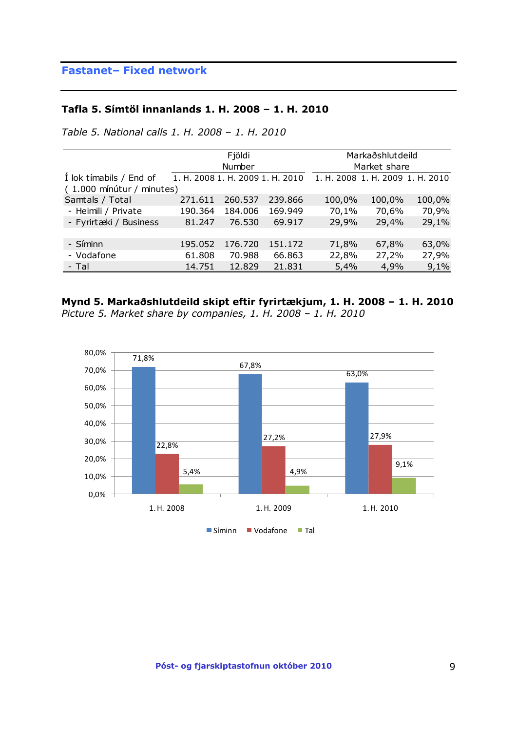## **Fastanet– Fixed network**

### **Tafla 5. Símtöl innanlands 1. H. 2008 – 1. H. 2010**

*Table 5. National calls 1. H. 2008 – 1. H. 2010*

|                           |                                  | Fjöldi  |         |                                  | Markaðshlutdeild |        |
|---------------------------|----------------------------------|---------|---------|----------------------------------|------------------|--------|
|                           |                                  | Number  |         |                                  | Market share     |        |
| I lok tímabils / End of   | 1. H. 2008 1. H. 2009 1. H. 2010 |         |         | 1. H. 2008 1. H. 2009 1. H. 2010 |                  |        |
| (1.000 mínútur / minutes) |                                  |         |         |                                  |                  |        |
| Samtals / Total           | 271.611                          | 260.537 | 239,866 | 100,0%                           | 100,0%           | 100,0% |
| - Heimili / Private       | 190.364                          | 184.006 | 169.949 | 70,1%                            | 70,6%            | 70,9%  |
| - Fyrirtæki / Business    | 81.247                           | 76.530  | 69.917  | 29,9%                            | 29,4%            | 29,1%  |
|                           |                                  |         |         |                                  |                  |        |
| - Síminn                  | 195.052                          | 176.720 | 151.172 | 71,8%                            | 67,8%            | 63,0%  |
| - Vodafone                | 61.808                           | 70.988  | 66.863  | 22,8%                            | 27,2%            | 27,9%  |
| - Tal                     | 14.751                           | 12,829  | 21.831  | 5,4%                             | 4,9%             | 9,1%   |

### **Mynd 5. Markaðshlutdeild skipt eftir fyrirtækjum, 1. H. 2008 – 1. H. 2010** *Picture 5. Market share by companies, 1. H. 2008 – 1. H. 2010*

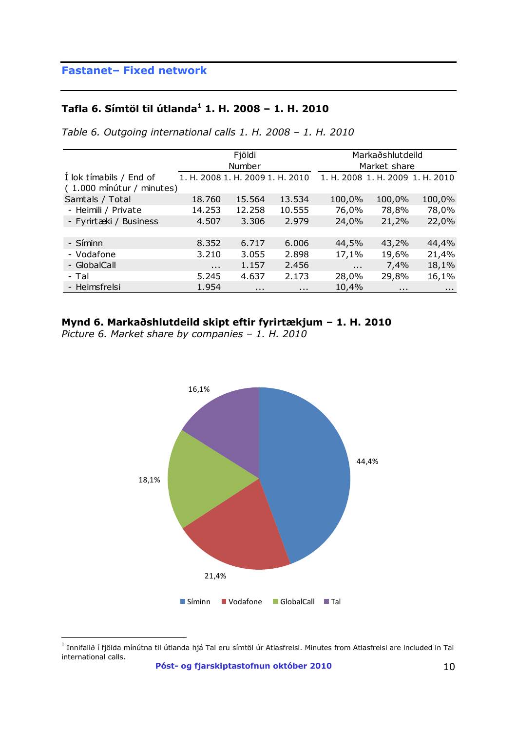## **Fastanet– Fixed network**

## **Tafla 6. Símtöl til útlanda<sup>1</sup> 1. H. 2008 – 1. H. 2010**

*Table 6. Outgoing international calls 1. H. 2008 – 1. H. 2010*

|                                                      |                                  | Fjöldi   |          |                                  | Markaðshlutdeild |                      |
|------------------------------------------------------|----------------------------------|----------|----------|----------------------------------|------------------|----------------------|
|                                                      |                                  | Number   |          |                                  | Market share     |                      |
| Í lok tímabils / End of<br>(1.000 mínútur / minutes) | 1. H. 2008 1. H. 2009 1. H. 2010 |          |          | 1. H. 2008 1. H. 2009 1. H. 2010 |                  |                      |
| Samtals / Total                                      | 18.760                           | 15.564   | 13.534   | 100,0%                           | 100,0%           | 100,0%               |
| - Heimili / Private                                  | 14.253                           | 12.258   | 10.555   | 76,0%                            | 78,8%            | 78,0%                |
| - Fyrirtæki / Business                               | 4.507                            | 3.306    | 2.979    | 24,0%                            | 21,2%            | 22,0%                |
|                                                      |                                  |          |          |                                  |                  |                      |
| - Síminn                                             | 8.352                            | 6.717    | 6.006    | 44,5%                            | 43,2%            | 44,4%                |
| - Vodafone                                           | 3.210                            | 3.055    | 2.898    | 17,1%                            | 19,6%            | 21,4%                |
| - GlobalCall                                         | $\cdots$                         | 1.157    | 2.456    | $\cdots$                         | 7,4%             | 18,1%                |
| - Tal                                                | 5.245                            | 4.637    | 2.173    | 28,0%                            | 29,8%            | 16,1%                |
| - Heimsfrelsi                                        | 1.954                            | $\cdots$ | $\cdots$ | 10,4%                            | $\cdots$         | $\sim$ $\sim$ $\sim$ |

### **Mynd 6. Markaðshlutdeild skipt eftir fyrirtækjum – 1. H. 2010**

*Picture 6. Market share by companies – 1. H. 2010*



 $^{\rm 1}$  Innifalið í fjölda mínútna til útlanda hjá Tal eru símtöl úr Atlasfrelsi. Minutes from Atlasfrelsi are included in Tal international calls.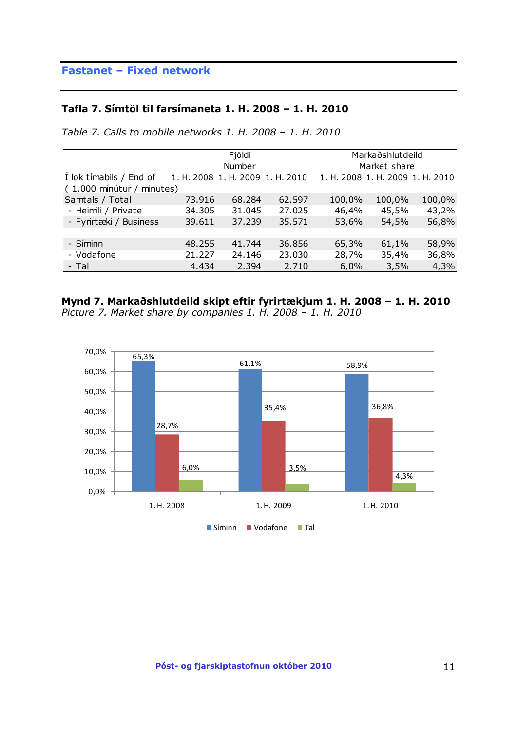## **Fastanet – Fixed network**

#### **Tafla 7. Símtöl til farsímaneta 1. H. 2008 – 1. H. 2010**

*Table 7. Calls to mobile networks 1. H. 2008 – 1. H. 2010*

|                           |                                  | Fjöldi |        |        | Markaðshlutdeild                 |        |
|---------------------------|----------------------------------|--------|--------|--------|----------------------------------|--------|
|                           |                                  | Number |        |        | Market share                     |        |
| I lok tímabils / End of   | 1. H. 2008 1. H. 2009 1. H. 2010 |        |        |        | 1. H. 2008 1. H. 2009 1. H. 2010 |        |
| (1.000 mínútur / minutes) |                                  |        |        |        |                                  |        |
| Samtals / Total           | 73.916                           | 68.284 | 62.597 | 100,0% | 100,0%                           | 100,0% |
| - Heimili / Private       | 34.305                           | 31.045 | 27.025 | 46,4%  | 45,5%                            | 43,2%  |
| - Fyrirtæki / Business    | 39.611                           | 37.239 | 35.571 | 53,6%  | 54,5%                            | 56,8%  |
|                           |                                  |        |        |        |                                  |        |
| - Síminn                  | 48.255                           | 41.744 | 36.856 | 65,3%  | 61,1%                            | 58,9%  |
| - Vodafone                | 21.227                           | 24.146 | 23.030 | 28,7%  | 35,4%                            | 36,8%  |
| - Tal                     | 4.434                            | 2.394  | 2.710  | 6,0%   | 3,5%                             | 4,3%   |

# **Mynd 7. Markaðshlutdeild skipt eftir fyrirtækjum 1. H. 2008 – 1. H. 2010**

*Picture 7. Market share by companies 1. H. 2008 – 1. H. 2010*

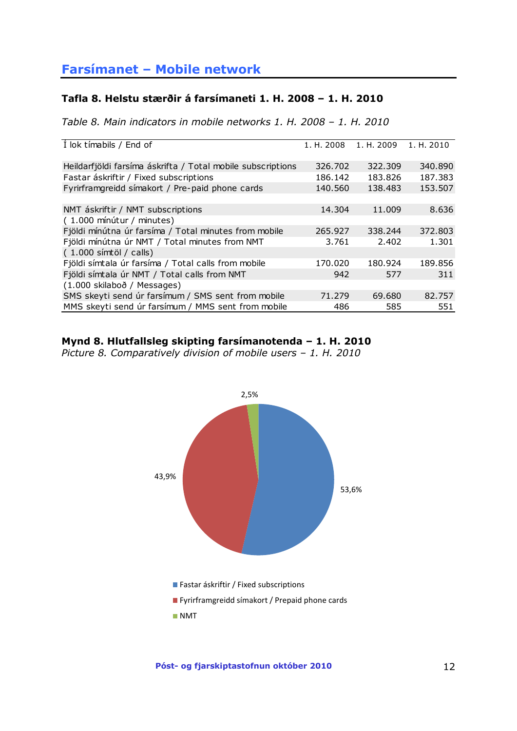### <span id="page-11-0"></span>**Tafla 8. Helstu stærðir á farsímaneti 1. H. 2008 – 1. H. 2010**

*Table 8. Main indicators in mobile networks 1. H. 2008 – 1. H. 2010*

| I lok tímabils / End of                                     | 1. H. 2008 | 1. H. 2009 | 1. H. 2010 |
|-------------------------------------------------------------|------------|------------|------------|
| Heildarfjöldi farsíma áskrifta / Total mobile subscriptions | 326.702    | 322.309    | 340,890    |
| Fastar áskriftir / Fixed subscriptions                      | 186.142    | 183.826    | 187.383    |
| Fyrirframgreidd símakort / Pre-paid phone cards             | 140.560    | 138.483    | 153.507    |
|                                                             |            |            |            |
| NMT áskriftir / NMT subscriptions                           | 14.304     | 11.009     | 8.636      |
| (1.000 mínútur / minutes)                                   |            |            |            |
| Fjöldi mínútna úr farsíma / Total minutes from mobile       | 265.927    | 338.244    | 372,803    |
| Fjöldi mínútna úr NMT / Total minutes from NMT              | 3.761      | 2.402      | 1.301      |
| (1.000 símtöl / calls)                                      |            |            |            |
| Fjöldi símtala úr farsíma / Total calls from mobile         | 170.020    | 180.924    | 189.856    |
| Fjöldi símtala úr NMT / Total calls from NMT                | 942        | 577        | 311        |
| (1.000 skilaboð / Messages)                                 |            |            |            |
| SMS skeyti send úr farsímum / SMS sent from mobile          | 71.279     | 69.680     | 82.757     |
| MMS skeyti send úr farsímum / MMS sent from mobile          | 486        | 585        | 551        |

### **Mynd 8. Hlutfallsleg skipting farsímanotenda – 1. H. 2010**

*Picture 8. Comparatively division of mobile users – 1. H. 2010*

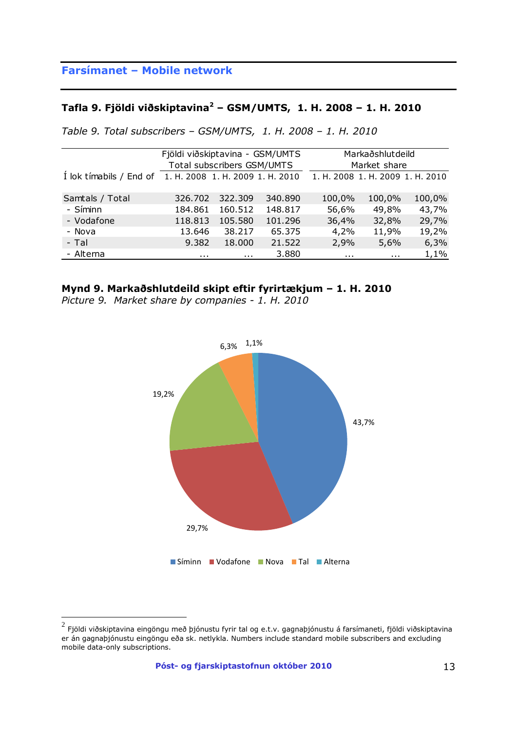## **Tafla 9. Fjöldi viðskiptavina<sup>2</sup> – GSM/UMTS, 1. H. 2008 – 1. H. 2010**

|  | Table 9. Total subscribers – GSM/UMTS, 1. H. 2008 – 1. H. 2010 |  |  |  |  |  |  |  |
|--|----------------------------------------------------------------|--|--|--|--|--|--|--|
|--|----------------------------------------------------------------|--|--|--|--|--|--|--|

|                                                          | Fjöldi viðskiptavina - GSM/UMTS |                            |         |                                  | Markaðshlutdeild |        |
|----------------------------------------------------------|---------------------------------|----------------------------|---------|----------------------------------|------------------|--------|
|                                                          |                                 | Total subscribers GSM/UMTS |         |                                  | Market share     |        |
| 1 lok tímabils / End of 1. H. 2008 1. H. 2009 1. H. 2010 |                                 |                            |         | 1. H. 2008 1. H. 2009 1. H. 2010 |                  |        |
|                                                          |                                 |                            |         |                                  |                  |        |
| Samtals / Total                                          | 326,702                         | 322.309                    | 340.890 | 100,0%                           | 100,0%           | 100,0% |
| - Síminn                                                 | 184.861                         | 160.512                    | 148.817 | 56,6%                            | 49,8%            | 43,7%  |
| - Vodafone                                               | 118.813                         | 105.580                    | 101.296 | 36,4%                            | 32,8%            | 29,7%  |
| - Nova                                                   | 13.646                          | 38.217                     | 65.375  | 4,2%                             | 11,9%            | 19,2%  |
| - Tal                                                    | 9.382                           | 18.000                     | 21.522  | 2,9%                             | 5,6%             | 6,3%   |
| - Alterna                                                | $\cdots$                        | .                          | 3.880   | $\mathbf{r}$                     | $\mathbf{r}$     | 1,1%   |

### **Mynd 9. Markaðshlutdeild skipt eftir fyrirtækjum – 1. H. 2010**

*Picture 9. Market share by companies - 1. H. 2010*



<sup>&</sup>lt;u>a staðurdi viðskiptavina eingöngu með þj</u>ónustu fyrir tal og e.t.v. gagnaþjónustu á farsímaneti, fjöldi viðskiptavina<br><sup>2</sup> Fjöldi viðskiptavina eingöngu með þjónustu fyrir tal og e.t.v. gagnaþjónustu á farsímaneti, fjöldi er án gagnaþjónustu eingöngu eða sk. netlykla. Numbers include standard mobile subscribers and excluding mobile data-only subscriptions.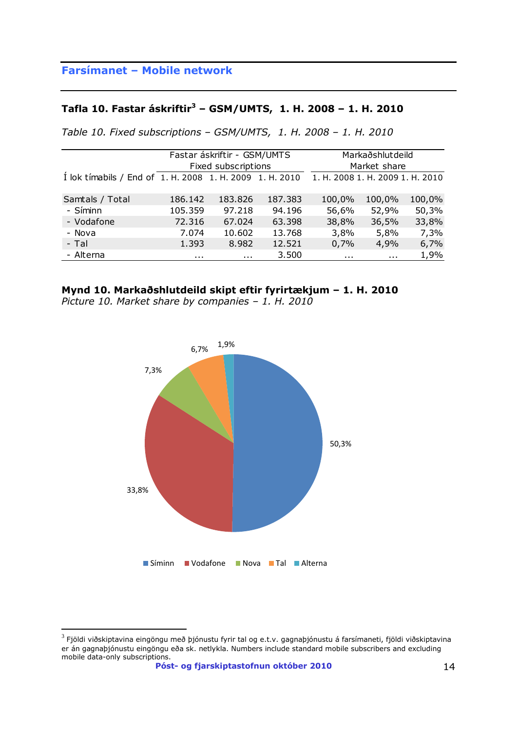### **Tafla 10. Fastar áskriftir<sup>3</sup> – GSM/UMTS, 1. H. 2008 – 1. H. 2010**

|  | Table 10. Fixed subscriptions - GSM/UMTS, 1. H. 2008 - 1. H. 2010 |  |  |  |
|--|-------------------------------------------------------------------|--|--|--|
|--|-------------------------------------------------------------------|--|--|--|

|                                                          |          | Fastar áskriftir - GSM/UMTS |         |                                  | Markaðshlutdeild |        |
|----------------------------------------------------------|----------|-----------------------------|---------|----------------------------------|------------------|--------|
|                                                          |          | Fixed subscriptions         |         |                                  | Market share     |        |
| Í lok tímabils / End of 1. H. 2008 1. H. 2009 1. H. 2010 |          |                             |         | 1. H. 2008 1. H. 2009 1. H. 2010 |                  |        |
|                                                          |          |                             |         |                                  |                  |        |
| Samtals / Total                                          | 186.142  | 183.826                     | 187.383 | 100,0%                           | 100,0%           | 100,0% |
| - Síminn                                                 | 105.359  | 97.218                      | 94.196  | 56,6%                            | 52,9%            | 50,3%  |
| - Vodafone                                               | 72.316   | 67.024                      | 63.398  | 38,8%                            | 36,5%            | 33,8%  |
| - Nova                                                   | 7.074    | 10.602                      | 13.768  | 3,8%                             | 5,8%             | 7,3%   |
| - Tal                                                    | 1.393    | 8.982                       | 12.521  | 0,7%                             | 4,9%             | 6,7%   |
| - Alterna                                                | $\cdots$ | .                           | 3.500   | .                                | $\cdots$         | 1,9%   |
|                                                          |          |                             |         |                                  |                  |        |

### **Mynd 10. Markaðshlutdeild skipt eftir fyrirtækjum – 1. H. 2010**

*Picture 10. Market share by companies – 1. H. 2010* 



werdi við skiptavina eingöngu með þjónustu fyrir tal og e.t.v. gagnaþjónustu á farsímaneti, fjöldi viðskiptavina<br><sup>3</sup> Fjöldi viðskiptavina eingöngu með þjónustu fyrir tal og e.t.v. gagnaþjónustu á farsímaneti, fjöldi viðski er án gagnaþjónustu eingöngu eða sk. netlykla. Numbers include standard mobile subscribers and excluding mobile data-only subscriptions.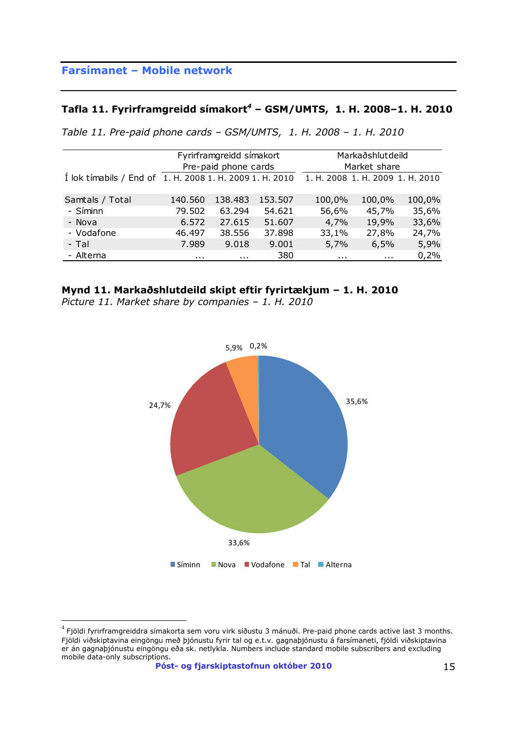### **Tafla 11. Fyrirframgreidd símakort***<sup>4</sup>* **– GSM/UMTS, 1. H. 2008–1. H. 2010**

| Table 11. Pre-paid phone cards - GSM/UMTS, 1. H. 2008 - 1. H. 2010 |  |  |  |  |
|--------------------------------------------------------------------|--|--|--|--|
|--------------------------------------------------------------------|--|--|--|--|

|                                                          |          | Fyrirframgreidd símakort |         |          | Markaðshlutdeild                 |        |  |
|----------------------------------------------------------|----------|--------------------------|---------|----------|----------------------------------|--------|--|
|                                                          |          | Pre-paid phone cards     |         |          | Market share                     |        |  |
| I lok timabils / End of 1. H. 2008 1. H. 2009 1. H. 2010 |          |                          |         |          | 1. H. 2008 1. H. 2009 1. H. 2010 |        |  |
|                                                          |          |                          |         |          |                                  |        |  |
| Samtals / Total                                          | 140.560  | 138.483                  | 153.507 | 100,0%   | 100,0%                           | 100,0% |  |
| - Síminn                                                 | 79.502   | 63.294                   | 54.621  | 56,6%    | 45,7%                            | 35,6%  |  |
| - Nova                                                   | 6.572    | 27.615                   | 51.607  | 4,7%     | 19,9%                            | 33,6%  |  |
| - Vodafone                                               | 46.497   | 38.556                   | 37.898  | 33,1%    | 27,8%                            | 24,7%  |  |
| - Tal                                                    | 7.989    | 9.018                    | 9.001   | 5,7%     | 6,5%                             | 5,9%   |  |
| - Alterna                                                | $\cdots$ | $\cdots$                 | 380     | $\cdots$ | $\cdots$                         | 0,2%   |  |

#### **Mynd 11. Markaðshlutdeild skipt eftir fyrirtækjum – 1. H. 2010**

*Picture 11. Market share by companies – 1. H. 2010*



<sup>&</sup>lt;sup>4</sup> Fjöldi fyrirframgreiddra símakorta sem voru virk síðustu 3 mánuði. Pre-paid phone cards active last 3 months. Fjöldi viðskiptavina eingöngu með þjónustu fyrir tal og e.t.v. gagnaþjónustu á farsímaneti, fjöldi viðskiptavina er án gagnaþjónustu eingöngu eða sk. netlykla. Numbers include standard mobile subscribers and excluding mobile data-only subscriptions.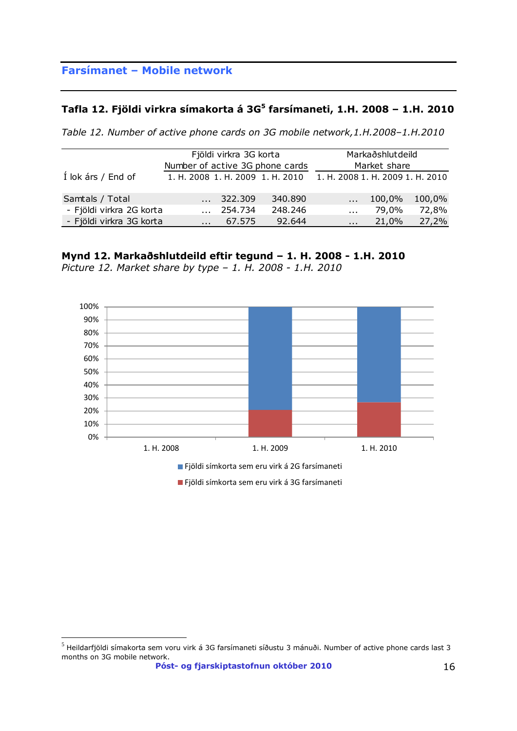### **Tafla 12. Fjöldi virkra símakorta á 3G<sup>5</sup> farsímaneti, 1.H. 2008 – 1.H. 2010**

|  |  | Table 12. Number of active phone cards on 3G mobile network, 1.H.2008-1.H.2010 |  |
|--|--|--------------------------------------------------------------------------------|--|
|--|--|--------------------------------------------------------------------------------|--|

|                          | Fjöldi virkra 3G korta |                                  | Markaðshlutdeild                 |              |        |  |
|--------------------------|------------------------|----------------------------------|----------------------------------|--------------|--------|--|
|                          |                        | Number of active 3G phone cards  |                                  | Market share |        |  |
| Í lok árs / End of       |                        | 1. H. 2008 1. H. 2009 1. H. 2010 | 1. H. 2008 1. H. 2009 1. H. 2010 |              |        |  |
|                          |                        |                                  |                                  |              |        |  |
| Samtals / Total          | 322.309                | 340.890                          | $\mathbf{r}$                     | 100,0%       | 100,0% |  |
| - Fjöldi virkra 2G korta | 254.734                | 248.246                          | $\mathbf{r}$                     | 79,0%        | 72,8%  |  |
| - Fjöldi virkra 3G korta | 67.575                 | 92.644                           | $\mathbf{r}$                     | 21,0%        | 27,2%  |  |

### **Mynd 12. Markaðshlutdeild eftir tegund – 1. H. 2008 - 1.H. 2010**

*Picture 12. Market share by type – 1. H. 2008 - 1.H. 2010*



 $^5$  Heildarfjöldi símakorta sem voru virk á 3G farsímaneti síðustu 3 mánuði. Number of active phone cards last 3 months on 3G mobile network.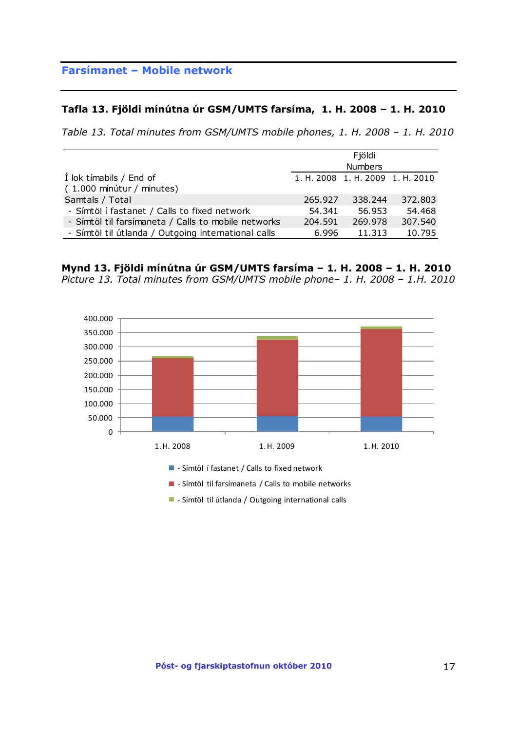#### **Tafla 13. Fjöldi mínútna úr GSM/UMTS farsíma, 1. H. 2008 – 1. H. 2010**

*Table 13. Total minutes from GSM/UMTS mobile phones, 1. H. 2008 – 1. H. 2010*

|                                                     |                                  | Fjöldi         |         |
|-----------------------------------------------------|----------------------------------|----------------|---------|
|                                                     |                                  | <b>Numbers</b> |         |
| I lok tímabils / End of                             | 1. H. 2008 1. H. 2009 1. H. 2010 |                |         |
| (1.000 mínútur / minutes)                           |                                  |                |         |
| Samtals / Total                                     | 265.927                          | 338.244        | 372,803 |
| - Símtöl í fastanet / Calls to fixed network        | 54.341                           | 56.953         | 54.468  |
| - Símtöl til farsímaneta / Calls to mobile networks | 204.591                          | 269.978        | 307.540 |
| - Símtöl til útlanda / Outgoing international calls | 6.996                            | 11.313         | 10.795  |

**Mynd 13. Fjöldi mínútna úr GSM/UMTS farsíma – 1. H. 2008 – 1. H. 2010** *Picture 13. Total minutes from GSM/UMTS mobile phone– 1. H. 2008 – 1.H. 2010* 



- Símtöl til útlanda / Outgoing international calls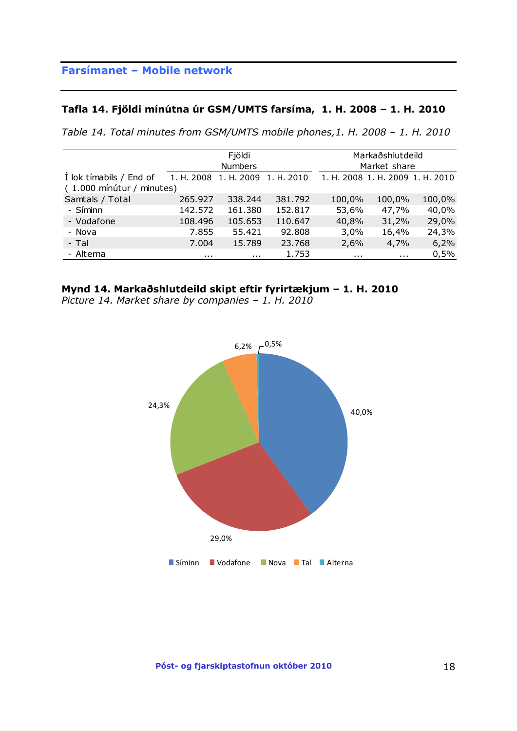### **Tafla 14. Fjöldi mínútna úr GSM/UMTS farsíma, 1. H. 2008 – 1. H. 2010**

*Table 14. Total minutes from GSM/UMTS mobile phones,1. H. 2008 – 1. H. 2010*

|                           |          | Fjöldi                |            |                                  | Markaðshlutdeild |        |  |
|---------------------------|----------|-----------------------|------------|----------------------------------|------------------|--------|--|
|                           |          | <b>Numbers</b>        |            |                                  | Market share     |        |  |
| I lok tímabils / End of   |          | 1. H. 2008 1. H. 2009 | 1. H. 2010 | 1. H. 2008 1. H. 2009 1. H. 2010 |                  |        |  |
| (1.000 mínútur / minutes) |          |                       |            |                                  |                  |        |  |
| Samtals / Total           | 265.927  | 338.244               | 381.792    | 100,0%                           | 100,0%           | 100,0% |  |
| - Síminn                  | 142.572  | 161.380               | 152.817    | 53,6%                            | 47,7%            | 40,0%  |  |
| - Vodafone                | 108.496  | 105.653               | 110.647    | 40,8%                            | 31,2%            | 29,0%  |  |
| - Nova                    | 7.855    | 55.421                | 92.808     | 3,0%                             | 16,4%            | 24,3%  |  |
| - Tal                     | 7.004    | 15.789                | 23.768     | 2,6%                             | 4,7%             | 6,2%   |  |
| - Alterna                 | $\cdots$ | $\cdots$              | 1.753      | $\sim$ $\sim$                    | $\sim 100$       | 0,5%   |  |

### **Mynd 14. Markaðshlutdeild skipt eftir fyrirtækjum – 1. H. 2010**

*Picture 14. Market share by companies – 1. H. 2010*

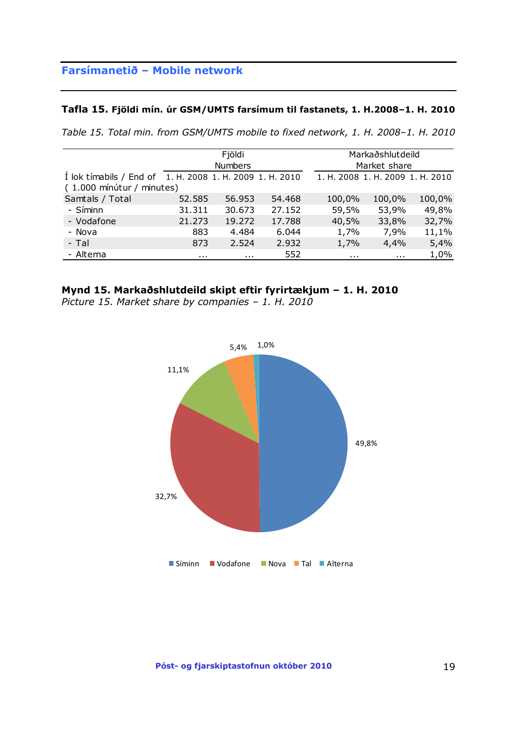#### **Tafla 15. Fjöldi mín. úr GSM/UMTS farsímum til fastanets, 1. H.2008–1. H. 2010**

*Table 15. Total min. from GSM/UMTS mobile to fixed network, 1. H. 2008–1. H. 2010*

|                                                                                       | Fjöldi<br><b>Numbers</b> |          |        |          | Markaðshlutdeild<br>Market share |        |
|---------------------------------------------------------------------------------------|--------------------------|----------|--------|----------|----------------------------------|--------|
| I lok timabils / End of 1. H. 2008 1. H. 2009 1. H. 2010<br>(1.000 mínútur / minutes) |                          |          |        |          | 1. H. 2008 1. H. 2009 1. H. 2010 |        |
| Samtals / Total                                                                       | 52.585                   | 56.953   | 54.468 | 100,0%   | 100,0%                           | 100,0% |
| - Síminn                                                                              | 31.311                   | 30.673   | 27.152 | 59,5%    | 53,9%                            | 49,8%  |
| - Vodafone                                                                            | 21,273                   | 19.272   | 17.788 | 40,5%    | 33,8%                            | 32,7%  |
| - Nova                                                                                | 883                      | 4.484    | 6.044  | 1,7%     | 7,9%                             | 11,1%  |
| - Tal                                                                                 | 873                      | 2.524    | 2.932  | 1,7%     | 4,4%                             | 5,4%   |
| - Alterna                                                                             | $\cdots$                 | $\cdots$ | 552    | $\cdots$ | $\cdots$                         | 1,0%   |

#### **Mynd 15. Markaðshlutdeild skipt eftir fyrirtækjum – 1. H. 2010**

*Picture 15. Market share by companies – 1. H. 2010*

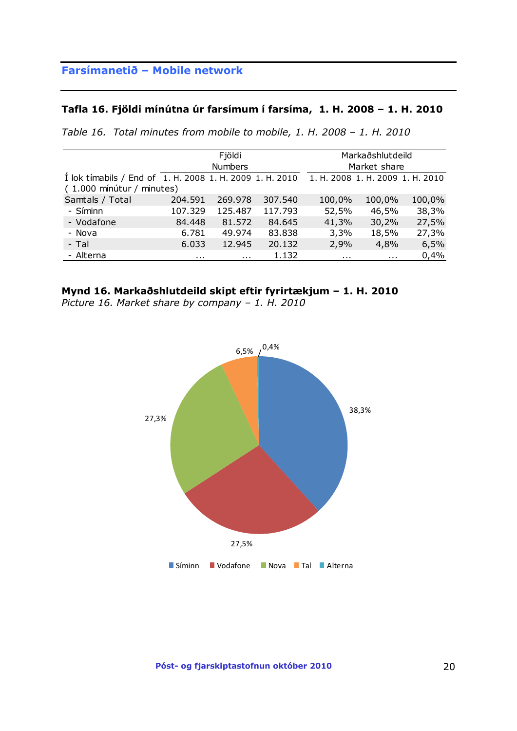### **Tafla 16. Fjöldi mínútna úr farsímum í farsíma, 1. H. 2008 – 1. H. 2010**

*Table 16. Total minutes from mobile to mobile, 1. H. 2008 – 1. H. 2010*

|                                                          | Fjöldi<br><b>Numbers</b> |         |         | Markaðshlutdeild<br>Market share |          |        |
|----------------------------------------------------------|--------------------------|---------|---------|----------------------------------|----------|--------|
| Í lok tímabils / End of 1. H. 2008 1. H. 2009 1. H. 2010 |                          |         |         | 1. H. 2008 1. H. 2009 1. H. 2010 |          |        |
| (1.000 mínútur / minutes)                                |                          |         |         |                                  |          |        |
| Samtals / Total                                          | 204.591                  | 269.978 | 307.540 | 100,0%                           | 100,0%   | 100,0% |
| - Síminn                                                 | 107.329                  | 125.487 | 117.793 | 52,5%                            | 46,5%    | 38,3%  |
| - Vodafone                                               | 84.448                   | 81.572  | 84.645  | 41,3%                            | 30,2%    | 27,5%  |
| - Nova                                                   | 6.781                    | 49.974  | 83.838  | 3,3%                             | 18,5%    | 27,3%  |
| - Tal                                                    | 6.033                    | 12.945  | 20.132  | 2,9%                             | 4,8%     | 6,5%   |
| - Alterna                                                | $\sim$ 0.00              | .       | 1.132   | $\cdots$                         | $\cdots$ | 0,4%   |

#### **Mynd 16. Markaðshlutdeild skipt eftir fyrirtækjum – 1. H. 2010**

*Picture 16. Market share by company – 1. H. 2010*



**Póst- og fjarskiptastofnun október 2010** 20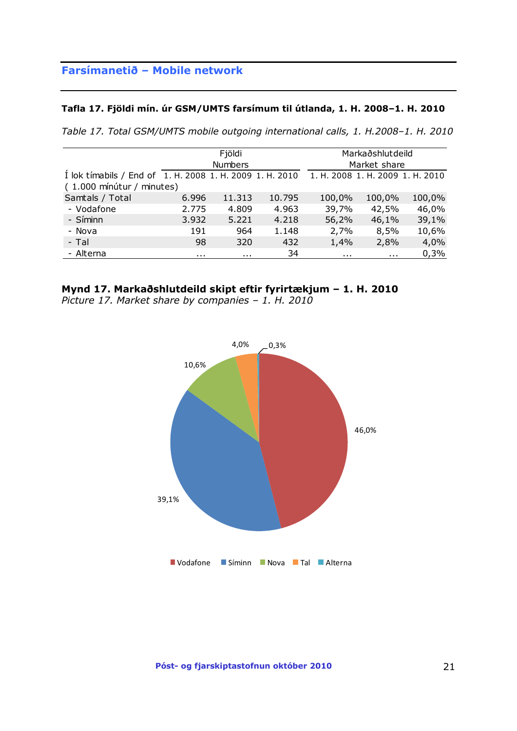#### **Tafla 17. Fjöldi mín. úr GSM/UMTS farsímum til útlanda, 1. H. 2008–1. H. 2010**

*Table 17. Total GSM/UMTS mobile outgoing international calls, 1. H.2008–1. H. 2010*

|                                                          |       | Fjöldi         |        |        | Markaðshlutdeild                 |        |  |
|----------------------------------------------------------|-------|----------------|--------|--------|----------------------------------|--------|--|
|                                                          |       | <b>Numbers</b> |        |        | Market share                     |        |  |
| I lok timabils / End of 1. H. 2008 1. H. 2009 1. H. 2010 |       |                |        |        | 1. H. 2008 1. H. 2009 1. H. 2010 |        |  |
| (1.000 mínútur / minutes)                                |       |                |        |        |                                  |        |  |
| Samtals / Total                                          | 6.996 | 11.313         | 10.795 | 100,0% | 100,0%                           | 100,0% |  |
| - Vodafone                                               | 2.775 | 4.809          | 4.963  | 39,7%  | 42,5%                            | 46,0%  |  |
| - Síminn                                                 | 3.932 | 5.221          | 4.218  | 56,2%  | 46,1%                            | 39,1%  |  |
| - Nova                                                   | 191   | 964            | 1.148  | 2,7%   | 8,5%                             | 10,6%  |  |
| - Tal                                                    | 98    | 320            | 432    | 1,4%   | 2,8%                             | 4,0%   |  |
| - Alterna                                                | .     | .              | 34     | .      | .                                | 0,3%   |  |

### **Mynd 17. Markaðshlutdeild skipt eftir fyrirtækjum – 1. H. 2010**

*Picture 17. Market share by companies – 1. H. 2010*

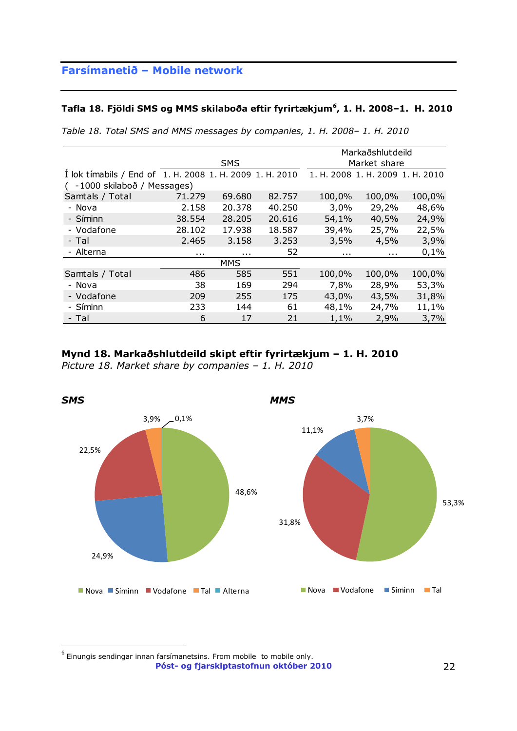#### **Tafla 18. Fjöldi SMS og MMS skilaboða eftir fyrirtækjum***<sup>6</sup>* **, 1. H. 2008–1. H. 2010**

|                                                          |              |            |        |          | Markaðshlutdeild                 |        |
|----------------------------------------------------------|--------------|------------|--------|----------|----------------------------------|--------|
| <b>SMS</b>                                               |              |            |        |          | Market share                     |        |
| I lok timabils / End of 1. H. 2008 1. H. 2009 1. H. 2010 |              |            |        |          | 1. H. 2008 1. H. 2009 1. H. 2010 |        |
| (-1000 skilaboð / Messages)                              |              |            |        |          |                                  |        |
| Samtals / Total                                          | 71.279       | 69.680     | 82.757 | 100,0%   | 100,0%                           | 100,0% |
| - Nova                                                   | 2.158        | 20.378     | 40.250 | 3,0%     | 29,2%                            | 48,6%  |
| - Síminn                                                 | 38.554       | 28,205     | 20.616 | 54,1%    | 40,5%                            | 24,9%  |
| - Vodafone                                               | 28.102       | 17.938     | 18.587 | 39,4%    | 25,7%                            | 22,5%  |
| - Tal                                                    | 2.465        | 3.158      | 3.253  | 3,5%     | 4,5%                             | 3,9%   |
| - Alterna                                                | $\mathbf{r}$ | .          | 52     | $\cdots$ | $\mathbf{r}$                     | 0,1%   |
|                                                          |              | <b>MMS</b> |        |          |                                  |        |
| Samtals / Total                                          | 486          | 585        | 551    | 100,0%   | 100,0%                           | 100,0% |
| - Nova                                                   | 38           | 169        | 294    | 7,8%     | 28,9%                            | 53,3%  |
| - Vodafone                                               | 209          | 255        | 175    | 43,0%    | 43,5%                            | 31,8%  |
| - Síminn                                                 | 233          | 144        | 61     | 48,1%    | 24,7%                            | 11,1%  |
| - Tal                                                    | 6            | 17         | 21     | 1,1%     | 2,9%                             | 3,7%   |

*Table 18. Total SMS and MMS messages by companies, 1. H. 2008– 1. H. 2010*

## **Mynd 18. Markaðshlutdeild skipt eftir fyrirtækjum – 1. H. 2010**

*Picture 18. Market share by companies – 1. H. 2010*



**Póst- og fjarskiptastofnun október 2010** 22  $<sup>6</sup>$  Einungis sendingar innan farsímanetsins. From mobile to mobile only.</sup>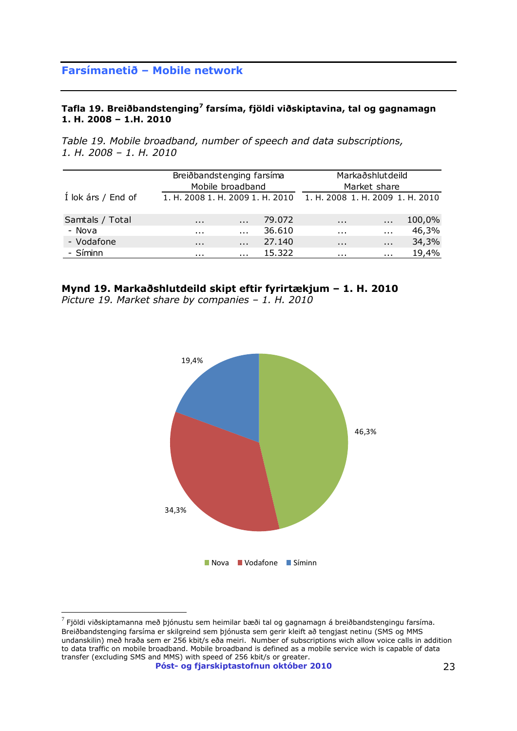#### **Tafla 19. Breiðbandstenging<sup>7</sup> farsíma, fjöldi viðskiptavina, tal og gagnamagn 1. H. 2008 – 1.H. 2010**

*Table 19. Mobile broadband, number of speech and data subscriptions, 1. H. 2008 – 1. H. 2010*

|                    | Breiðbandstenging farsíma        |                  |        |                                  | Markaðshlutdeild |        |
|--------------------|----------------------------------|------------------|--------|----------------------------------|------------------|--------|
|                    |                                  | Mobile broadband |        |                                  | Market share     |        |
| Í lok árs / End of | 1. H. 2008 1. H. 2009 1. H. 2010 |                  |        | 1. H. 2008 1. H. 2009 1. H. 2010 |                  |        |
| Samtals / Total    | $\mathbf{r}$                     | $\cdots$         | 79.072 | $\sim 100$                       | $\cdots$         | 100,0% |
| - Nova             | $\mathbf{r}$                     | $\cdots$         | 36.610 | $\cdots$                         | $\cdots$         | 46,3%  |
| - Vodafone         | $\sim$ 100 $\pm$                 | $\cdots$         | 27.140 | $\cdots$                         | $\cdots$         | 34,3%  |
| - Síminn           | $\cdots$                         | $\cdots$         | 15.322 | $\cdots$                         | $\cdots$         | 19,4%  |

## **Mynd 19. Markaðshlutdeild skipt eftir fyrirtækjum – 1. H. 2010**

*Picture 19. Market share by companies – 1. H. 2010*



 $^7$  Fjöldi viðskiptamanna með þjónustu sem heimilar bæði tal og gagnamagn á breiðbandstengingu farsíma. Breiðbandstenging farsíma er skilgreind sem þjónusta sem gerir kleift að tengjast netinu (SMS og MMS undanskilin) með hraða sem er 256 kbit/s eða meiri. Number of subscriptions wich allow voice calls in addition to data traffic on mobile broadband. Mobile broadband is defined as a mobile service wich is capable of data transfer (excluding SMS and MMS) with speed of 256 kbit/s or greater.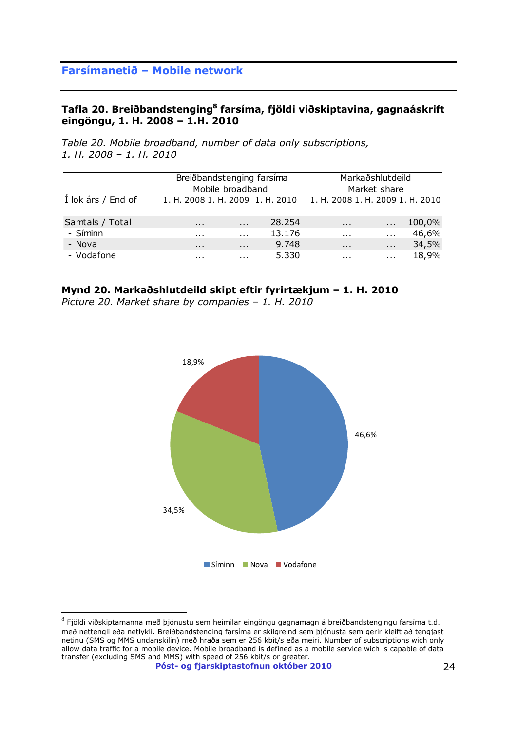### **Tafla 20. Breiðbandstenging<sup>8</sup> farsíma, fjöldi viðskiptavina, gagnaáskrift eingöngu, 1. H. 2008 – 1.H. 2010**

*Table 20. Mobile broadband, number of data only subscriptions, 1. H. 2008 – 1. H. 2010*

|                    |                                  | Breiðbandstenging farsíma<br>Mobile broadband |        |                                  | Markaðshlutdeild<br>Market share |        |
|--------------------|----------------------------------|-----------------------------------------------|--------|----------------------------------|----------------------------------|--------|
| Í lok árs / End of | 1. H. 2008 1. H. 2009 1. H. 2010 |                                               |        | 1. H. 2008 1. H. 2009 1. H. 2010 |                                  |        |
| Samtals / Total    | $\cdots$                         | $\cdots$                                      | 28.254 | $\cdots$                         | $\cdots$                         | 100,0% |
| - Síminn           | $\cdots$                         | $\cdots$                                      | 13.176 | $\cdots$                         | $\cdots$                         | 46,6%  |
| - Nova             | $\cdots$                         | $\cdots$                                      | 9.748  | $\cdots$                         | $\cdots$                         | 34,5%  |
| - Vodafone         | .                                | .                                             | 5.330  | .                                | .                                | 18,9%  |

### **Mynd 20. Markaðshlutdeild skipt eftir fyrirtækjum – 1. H. 2010**

*Picture 20. Market share by companies – 1. H. 2010*



 $^8$  Fjöldi viðskiptamanna með þjónustu sem heimilar eingöngu gagnamagn á breiðbandstengingu farsíma t.d. með nettengli eða netlykli. Breiðbandstenging farsíma er skilgreind sem þjónusta sem gerir kleift að tengjast netinu (SMS og MMS undanskilin) með hraða sem er 256 kbit/s eða meiri. Number of subscriptions wich only allow data traffic for a mobile device. Mobile broadband is defined as a mobile service wich is capable of data transfer (excluding SMS and MMS) with speed of 256 kbit/s or greater.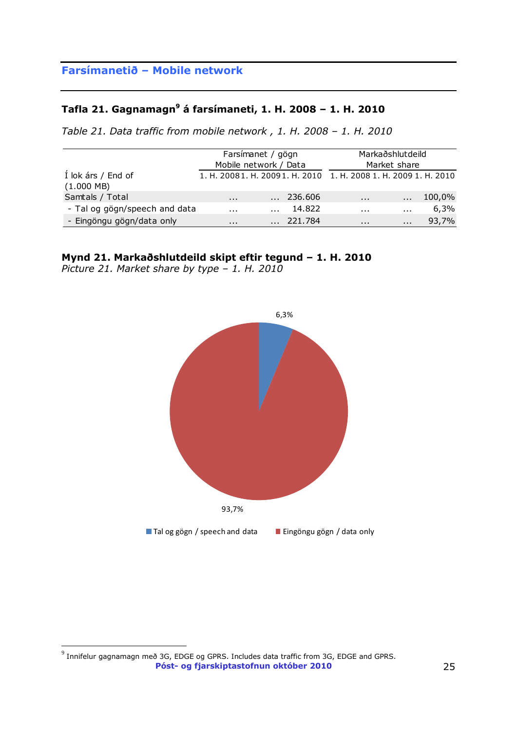### **Tafla 21. Gagnamagn<sup>9</sup> á farsímaneti, 1. H. 2008 – 1. H. 2010**

*Table 21. Data traffic from mobile network , 1. H. 2008 – 1. H. 2010* 

|                                    |          | Farsímanet / gögn<br>Mobile network / Data                        | Markaðshlutdeild<br>Market share |            |        |
|------------------------------------|----------|-------------------------------------------------------------------|----------------------------------|------------|--------|
| Í lok árs / End of<br>$(1.000$ MB) |          | 1. H. 2008 1. H. 2009 1. H. 2010 1. H. 2008 1. H. 2009 1. H. 2010 |                                  |            |        |
| Samtals / Total                    | $\cdots$ | $\ldots$ 236.606                                                  | $\cdots$                         |            | 100,0% |
| - Tal og gögn/speech and data      | .        | 14.822                                                            | $\cdots$                         | $\cdots$   | 6,3%   |
| - Eingöngu gögn/data only          | $\cdots$ | 221.784                                                           | $\cdots$                         | $\sim 100$ | 93,7%  |

### **Mynd 21. Markaðshlutdeild skipt eftir tegund – 1. H. 2010**

*Picture 21. Market share by type – 1. H. 2010*



**Póst- og fjarskiptastofnun október 2010**   $^9$  Innifelur gagnamagn með 3G, EDGE og GPRS. Includes data traffic from 3G, EDGE and GPRS.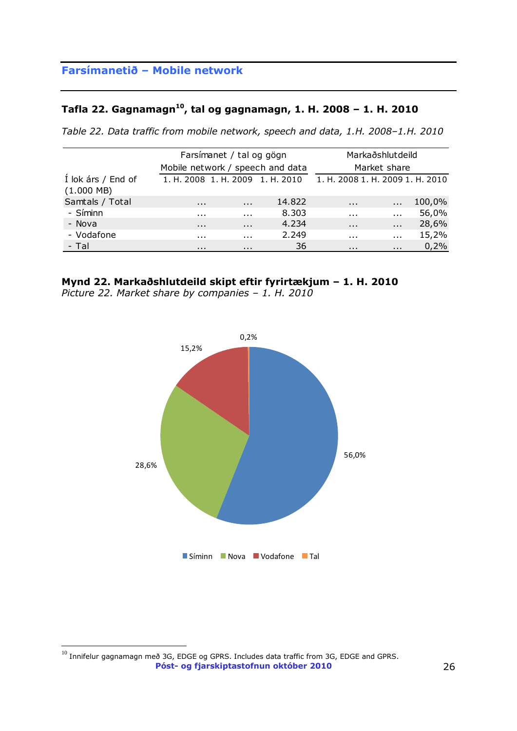### **Tafla 22. Gagnamagn<sup>10</sup> , tal og gagnamagn, 1. H. 2008 – 1. H. 2010**

*Table 22. Data traffic from mobile network, speech and data, 1.H. 2008–1.H. 2010*

|                                            |          | Farsímanet / tal og gögn |                                  |                                  | Markaðshlutdeild |        |
|--------------------------------------------|----------|--------------------------|----------------------------------|----------------------------------|------------------|--------|
|                                            |          |                          | Mobile network / speech and data |                                  | Market share     |        |
| Í lok árs / End of<br>$(1.000 \text{ MB})$ |          |                          | 1. H. 2008 1. H. 2009 1. H. 2010 | 1. H. 2008 1. H. 2009 1. H. 2010 |                  |        |
| Samtals / Total                            | $\cdots$ | $\sim$ 100 $\sim$        | 14.822                           | $\mathbf{r}$                     | $\sim 100$       | 100,0% |
| - Síminn                                   | $\cdots$ | $\mathbf{r}$             | 8.303                            | $\mathbf{r}$                     | $\mathbf{r}$     | 56,0%  |
| - Nova                                     | $\cdots$ | $\cdots$                 | 4.234                            | $\sim$ 100 $\pm$                 | $\cdots$         | 28,6%  |
| - Vodafone                                 | $\cdots$ | $\mathbf{r}$             | 2.249                            | $\mathbf{r}$                     | $\mathbf{r}$     | 15,2%  |
| - Tal                                      | $\cdots$ | $\cdots$                 | 36                               | $\cdots$                         | $\mathbf{r}$     | 0,2%   |

### **Mynd 22. Markaðshlutdeild skipt eftir fyrirtækjum – 1. H. 2010**

*Picture 22. Market share by companies – 1. H. 2010*



**Póst- og fjarskiptastofnun október 2010** 26  $^{10}$  Innifelur gagnamagn með 3G, EDGE og GPRS. Includes data traffic from 3G, EDGE and GPRS.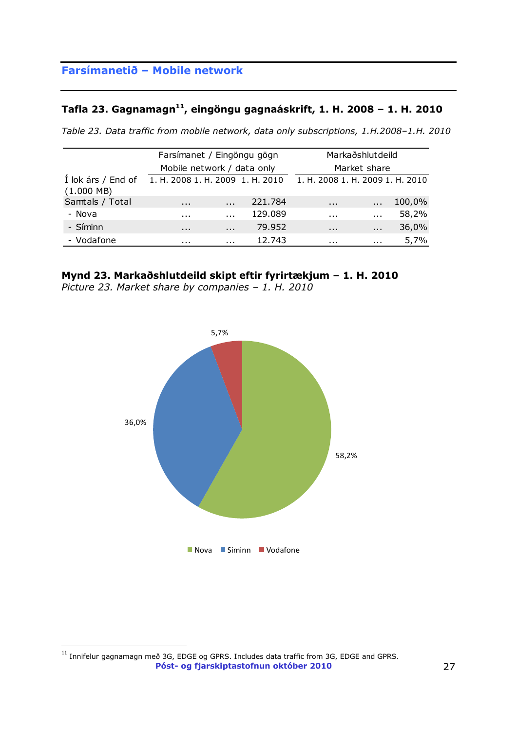### **Tafla 23. Gagnamagn<sup>11</sup> , eingöngu gagnaáskrift, 1. H. 2008 – 1. H. 2010**

*Table 23. Data traffic from mobile network, data only subscriptions, 1.H.2008–1.H. 2010*

|                                    | Farsímanet / Eingöngu gögn       |                            |         |                                  | Markaðshlutdeild     |        |
|------------------------------------|----------------------------------|----------------------------|---------|----------------------------------|----------------------|--------|
|                                    |                                  | Mobile network / data only |         |                                  | Market share         |        |
| Í lok árs / End of<br>$(1.000$ MB) | 1. H. 2008 1. H. 2009 1. H. 2010 |                            |         | 1. H. 2008 1. H. 2009 1. H. 2010 |                      |        |
| Samtals / Total                    | $\cdots$                         | $\ddotsc$                  | 221.784 | $\cdots$                         | $\ddot{\phantom{a}}$ | 100,0% |
| - Nova                             | $\cdots$                         | $\cdots$                   | 129.089 | $\cdots$                         | $\cdots$             | 58,2%  |
| - Síminn                           | $\cdots$                         | $\cdots$                   | 79.952  | $\cdots$                         | $\cdots$             | 36,0%  |
| - Vodafone                         | .                                | $\cdots$                   | 12.743  | .                                | $\cdots$             | 5,7%   |

### **Mynd 23. Markaðshlutdeild skipt eftir fyrirtækjum – 1. H. 2010**

*Picture 23. Market share by companies – 1. H. 2010*



**Póst- og fjarskiptastofnun október 2010** 27  $^{11}$  Innifelur gagnamagn með 3G, EDGE og GPRS. Includes data traffic from 3G, EDGE and GPRS.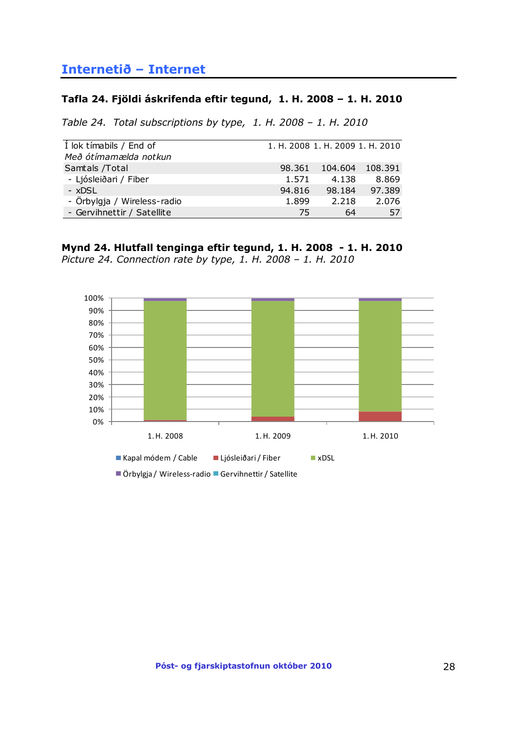## <span id="page-27-0"></span>**Internetið – Internet**

#### **Tafla 24. Fjöldi áskrifenda eftir tegund, 1. H. 2008 – 1. H. 2010**

*Table 24. Total subscriptions by type, 1. H. 2008 – 1. H. 2010*

| I lok tímabils / End of     | 1. H. 2008 1. H. 2009 1. H. 2010 |         |         |
|-----------------------------|----------------------------------|---------|---------|
| Með ótímamælda notkun       |                                  |         |         |
| Samtals /Total              | 98.361                           | 104.604 | 108.391 |
| - Ljósleiðari / Fiber       | 1.571                            | 4.138   | 8.869   |
| $-$ xDSL                    | 94.816                           | 98.184  | 97.389  |
| - Örbylgja / Wireless-radio | 1.899                            | 2.218   | 2.076   |
| - Gervihnettir / Satellite  | 75                               | 64      | 57      |

## **Mynd 24. Hlutfall tenginga eftir tegund, 1. H. 2008 - 1. H. 2010**

*Picture 24. Connection rate by type, 1. H. 2008 – 1. H. 2010*



Örbylgja / Wireless-radio Gervihnettir / Satellite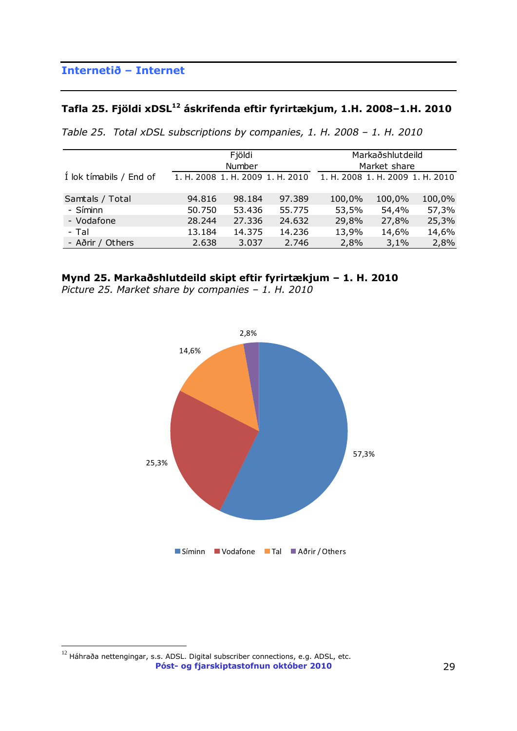# **Tafla 25. Fjöldi xDSL<sup>12</sup> áskrifenda eftir fyrirtækjum, 1.H. 2008–1.H. 2010**

*Table 25. Total xDSL subscriptions by companies, 1. H. 2008 – 1. H. 2010*

|                         |                                  | Fjöldi<br>Number |        |        | Markaðshlutdeild<br>Market share |        |
|-------------------------|----------------------------------|------------------|--------|--------|----------------------------------|--------|
| Í lok tímabils / End of | 1. H. 2008 1. H. 2009 1. H. 2010 |                  |        |        | 1. H. 2008 1. H. 2009 1. H. 2010 |        |
| Samtals / Total         | 94.816                           | 98.184           | 97.389 | 100,0% | 100,0%                           | 100,0% |
| - Síminn                | 50.750                           | 53.436           | 55.775 | 53,5%  | 54,4%                            | 57,3%  |
| - Vodafone              | 28.244                           | 27.336           | 24.632 | 29,8%  | 27,8%                            | 25,3%  |
| - Tal                   | 13.184                           | 14.375           | 14.236 | 13,9%  | 14,6%                            | 14,6%  |
| - Aðrir / Others        | 2.638                            | 3.037            | 2.746  | 2,8%   | 3,1%                             | 2,8%   |

### **Mynd 25. Markaðshlutdeild skipt eftir fyrirtækjum – 1. H. 2010**

*Picture 25. Market share by companies – 1. H. 2010*



**Póst- og fjarskiptastofnun október 2010** 29  $^{12}$  Háhraða nettengingar, s.s. ADSL. Digital subscriber connections, e.g. ADSL, etc.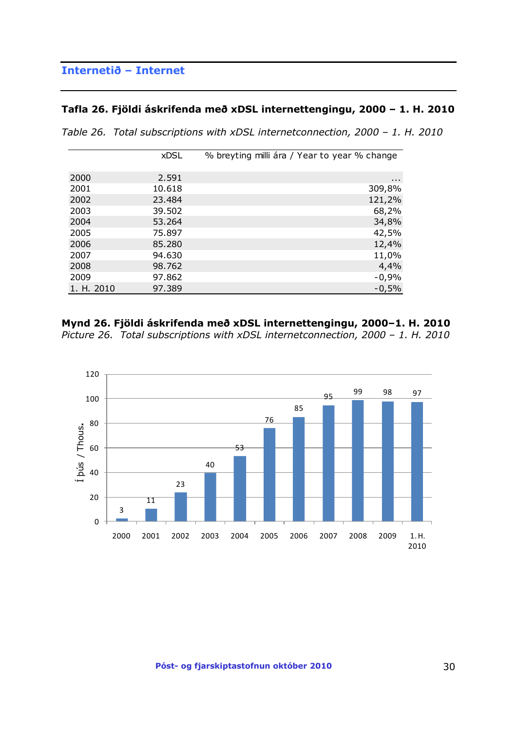## **Internetið – Internet**

### **Tafla 26. Fjöldi áskrifenda með xDSL internettengingu, 2000 – 1. H. 2010**

| Table 26. Total subscriptions with xDSL internetconnection, 2000 - 1. H. 2010 |  |  |
|-------------------------------------------------------------------------------|--|--|
|                                                                               |  |  |

|            | <b>xDSL</b> | % breyting milli ára / Year to year % change |
|------------|-------------|----------------------------------------------|
|            |             |                                              |
| 2000       | 2.591       | $\cdots$                                     |
| 2001       | 10.618      | 309,8%                                       |
| 2002       | 23.484      | 121,2%                                       |
| 2003       | 39.502      | 68,2%                                        |
| 2004       | 53.264      | 34,8%                                        |
| 2005       | 75.897      | 42,5%                                        |
| 2006       | 85.280      | 12,4%                                        |
| 2007       | 94.630      | 11,0%                                        |
| 2008       | 98.762      | 4,4%                                         |
| 2009       | 97.862      | $-0,9%$                                      |
| 1. H. 2010 | 97.389      | $-0,5%$                                      |

## **Mynd 26. Fjöldi áskrifenda með xDSL internettengingu, 2000–1. H. 2010**

*Picture 26. Total subscriptions with xDSL internetconnection, 2000 - 1. H. 2010* 

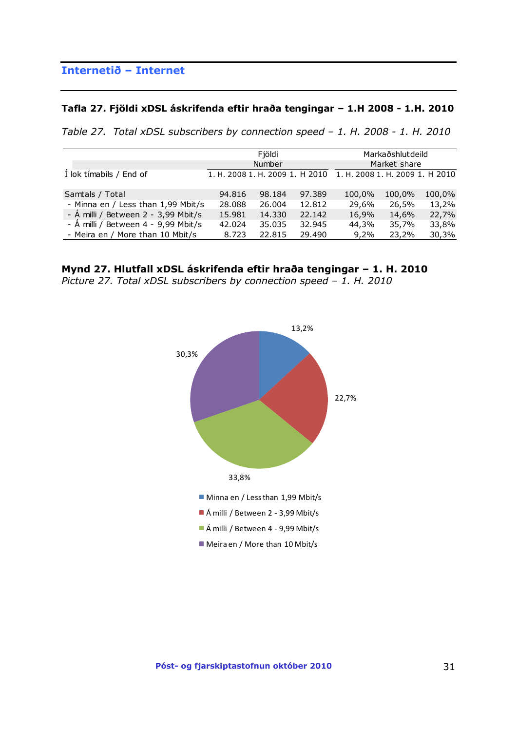## **Internetið – Internet**

#### **Tafla 27. Fjöldi xDSL áskrifenda eftir hraða tengingar – 1.H 2008 - 1.H. 2010**

*Table 27. Total xDSL subscribers by connection speed – 1. H. 2008 - 1. H. 2010* 

|                                     |        | Fjöldi                          |        |                                 | Markaðshlutdeild |        |
|-------------------------------------|--------|---------------------------------|--------|---------------------------------|------------------|--------|
|                                     |        | Number                          |        |                                 | Market share     |        |
| I lok tímabils / End of             |        | 1. H. 2008 1. H. 2009 1. H 2010 |        | 1. H. 2008 1. H. 2009 1. H 2010 |                  |        |
| Samtals / Total                     | 94.816 | 98.184                          | 97.389 | 100,0%                          | 100,0%           | 100,0% |
| - Minna en / Less than 1,99 Mbit/s  | 28,088 | 26,004                          | 12.812 | 29,6%                           | 26,5%            | 13,2%  |
| - Á milli / Between 2 - 3,99 Mbit/s | 15.981 | 14.330                          | 22.142 | 16,9%                           | 14,6%            | 22,7%  |
| - A milli / Between 4 - 9,99 Mbit/s | 42.024 | 35.035                          | 32.945 | 44,3%                           | 35,7%            | 33,8%  |
| - Meira en / More than 10 Mbit/s    | 8.723  | 22.815                          | 29.490 | 9,2%                            | 23,2%            | 30,3%  |
|                                     |        |                                 |        |                                 |                  |        |

**Mynd 27. Hlutfall xDSL áskrifenda eftir hraða tengingar – 1. H. 2010** *Picture 27. Total xDSL subscribers by connection speed – 1. H. 2010* 

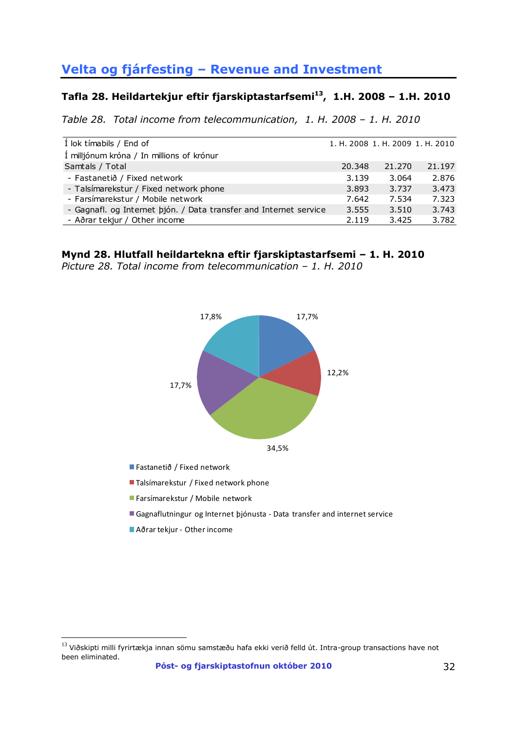# **Velta og fjárfesting – Revenue and Investment**

### **Tafla 28. Heildartekjur eftir fjarskiptastarfsemi<sup>13</sup> , 1.H. 2008 – 1.H. 2010**

*Table 28. Total income from telecommunication, 1. H. 2008 – 1. H. 2010*

| I lok tímabils / End of                                           |        |        | 1. H. 2008 1. H. 2009 1. H. 2010 |
|-------------------------------------------------------------------|--------|--------|----------------------------------|
| Í milljónum króna / In millions of krónur                         |        |        |                                  |
| Samtals / Total                                                   | 20.348 | 21.270 | 21.197                           |
| - Fastanetið / Fixed network                                      | 3.139  | 3.064  | 2.876                            |
| - Talsímarekstur / Fixed network phone                            | 3.893  | 3.737  | 3.473                            |
| - Farsímarekstur / Mobile network                                 | 7.642  | 7.534  | 7.323                            |
| - Gagnafl. og Internet bjón. / Data transfer and Internet service | 3.555  | 3.510  | 3.743                            |
| - Aðrar tekjur / Other income                                     | 2.119  | 3.425  | 3.782                            |

### **Mynd 28. Hlutfall heildartekna eftir fjarskiptastarfsemi – 1. H. 2010**

*Picture 28. Total income from telecommunication – 1. H. 2010*



Fastanetið / Fixed network

■ Talsímarekstur / Fixed network phone

Farsímarekstur / Mobile network

Gagnaflutningur og Internet þjónusta - Data transfer and internet service

Aðrar tekjur - Other income

 $13$  Viðskipti milli fyrirtækja innan sömu samstæðu hafa ekki verið felld út. Intra-group transactions have not been eliminated.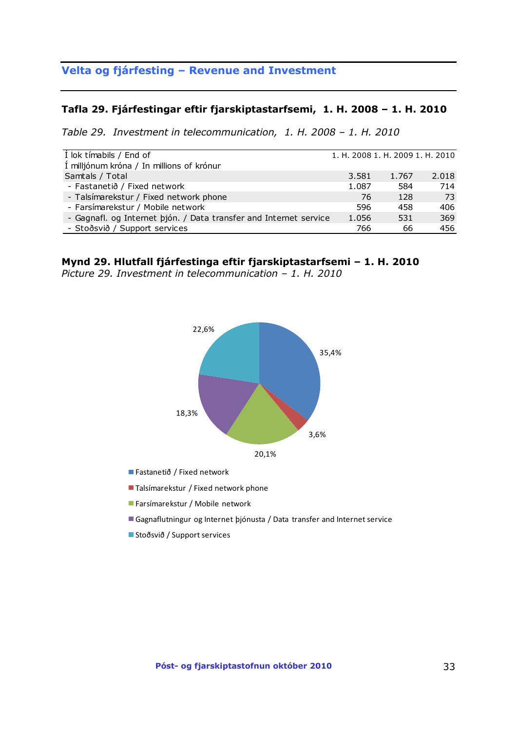## **Velta og fjárfesting – Revenue and Investment**

#### **Tafla 29. Fjárfestingar eftir fjarskiptastarfsemi, 1. H. 2008 – 1. H. 2010**

*Table 29. Investment in telecommunication, 1. H. 2008 – 1. H. 2010*

| Í lok tímabils / End of                                           | 1. H. 2008 1. H. 2009 1. H. 2010 |       |       |
|-------------------------------------------------------------------|----------------------------------|-------|-------|
| Í milljónum króna / In millions of krónur                         |                                  |       |       |
| Samtals / Total                                                   | 3.581                            | 1.767 | 2.018 |
| - Fastanetið / Fixed network                                      | 1.087                            | 584   | 714   |
| - Talsímarekstur / Fixed network phone                            | 76                               | 128   | 73    |
| - Farsímarekstur / Mobile network                                 | 596                              | 458   | 406   |
| - Gagnafl. og Internet þjón. / Data transfer and Internet service | 1.056                            | 531   | 369   |
| - Stoðsvið / Support services                                     | 766                              | 66    | 456   |

### **Mynd 29. Hlutfall fjárfestinga eftir fjarskiptastarfsemi – 1. H. 2010**

*Picture 29. Investment in telecommunication – 1. H. 2010*



Fastanetið / Fixed network

- Talsímarekstur / Fixed network phone
- Farsímarekstur / Mobile network
- Gagnaflutningur og Internet þjónusta / Data transfer and Internet service
- Stoðsvið / Support services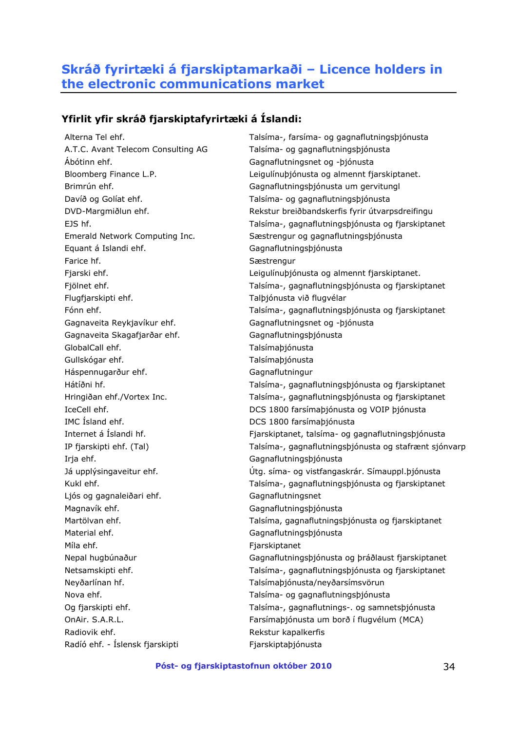## <span id="page-33-0"></span>**Skráð fyrirtæki á fjarskiptamarkaði – Licence holders in the electronic communications market**

## **Yfirlit yfir skráð fjarskiptafyrirtæki á Íslandi:**

Ábótinn ehf. Gagnaflutningsnet og -þjónusta Equant á Islandi ehf. Gagnaflutningsþjónusta Farice hf. Sample of the Sæstrengur Flugfjarskipti ehf. Talþjónusta við flugvélar Gagnaveita Reykjavíkur ehf. Gagnaflutningsnet og -þjónusta Gagnaveita Skagafjarðar ehf. Gagnaflutningsþjónusta GlobalCall ehf. Talsímaþjónusta Gullskógar ehf. Talsímabjónusta Háspennugarður ehf. Gagnaflutningur IMC Ísland ehf. **DCS** 1800 farsímaþjónusta Irja ehf. Gagnaflutningsþjónusta Ljós og gagnaleiðari ehf. Gagnaflutningsnet Magnavík ehf. **Gagnaflutnings** bildagnavík ehf. Material ehf. **Gagnaflutnings** bildaringsbjónusta Míla ehf. **Fjarskiptanet** Neyðarlínan hf. Talsímaþjónusta/neyðarsímsvörun Radiovik ehf. The state of the Rekstur kapalkerfis Radíó ehf. - Íslensk fjarskipti Fjarskiptaþjónusta

Alterna Tel ehf. Talsíma-, farsíma- og gagnaflutningsþjónusta A.T.C. Avant Telecom Consulting AG Talsíma- og gagnaflutningsþjónusta Bloomberg Finance L.P. Leigulínuþjónusta og almennt fjarskiptanet. Brimrún ehf. Gagnaflutningsþjónusta um gervitungl Davíð og Golíat ehf. Talsíma- og gagnaflutningsþjónusta DVD-Margmiðlun ehf. Rekstur breiðbandskerfis fyrir útvarpsdreifingu EJS hf. Talsíma-, gagnaflutningsþjónusta og fjarskiptanet Emerald Network Computing Inc. Sæstrengur og gagnaflutningsþjónusta Fjarski ehf. **Leigulínubjónusta og almennt fjarskiptanet**. Fjölnet ehf. Talsíma-, gagnaflutningsþjónusta og fjarskiptanet Fónn ehf. Talsíma-, gagnaflutningsþjónusta og fjarskiptanet Hátíðni hf. Talsíma-, gagnaflutningsþjónusta og fjarskiptanet Hringiðan ehf./Vortex Inc. Talsíma-, gagnaflutningsþjónusta og fjarskiptanet IceCell ehf. DCS 1800 farsímaþjónusta og VOIP þjónusta Internet á Íslandi hf. Fjarskiptanet, talsíma- og gagnaflutningsþjónusta IP fjarskipti ehf. (Tal) Talsíma-, gagnaflutningsþjónusta og stafrænt sjónvarp Já upplýsingaveitur ehf. Útg. síma- og vistfangaskrár. Símauppl.þjónusta Kukl ehf. Talsíma-, gagnaflutningsþjónusta og fjarskiptanet Martölvan ehf. Talsíma, gagnaflutningsþjónusta og fjarskiptanet Nepal hugbúnaður Gagnaflutningsþjónusta og þráðlaust fjarskiptanet Netsamskipti ehf. Talsíma-, gagnaflutningsþjónusta og fjarskiptanet Nova ehf. Talsíma- og gagnaflutningsþjónusta Og fjarskipti ehf. Talsíma-, gagnaflutnings-. og samnetsþjónusta OnAir. S.A.R.L. Farsímaþjónusta um borð í flugvélum (MCA)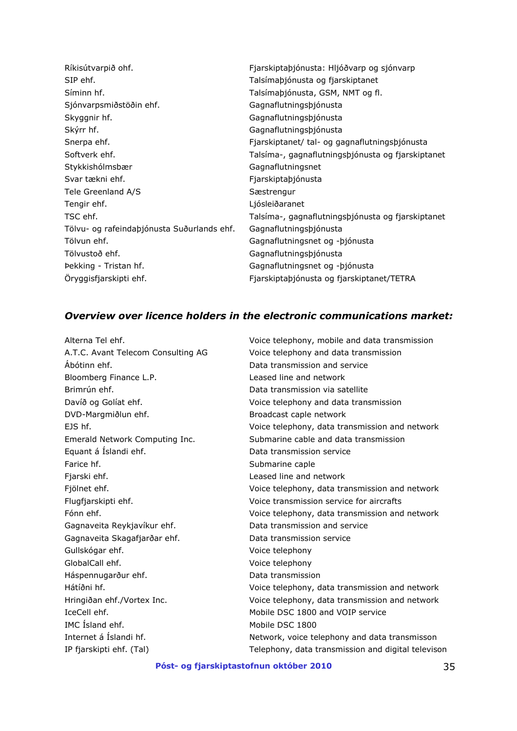| Fjarskiptaþjónusta: Hljóðvarp og sjónvarp         |
|---------------------------------------------------|
| Talsímaþjónusta og fjarskiptanet                  |
| Talsímaþjónusta, GSM, NMT og fl.                  |
| Gagnaflutningsþjónusta                            |
| Gagnaflutningsþjónusta                            |
| Gagnaflutningsþjónusta                            |
| Fjarskiptanet/ tal- og gagnaflutningsþjónusta     |
| Talsíma-, gagnaflutningsþjónusta og fjarskiptanet |
| Gagnaflutningsnet                                 |
| Fjarskiptaþjónusta                                |
| Sæstrengur                                        |
| Ljósleiðaranet                                    |
| Talsíma-, gagnaflutningsþjónusta og fjarskiptanet |
| Gagnaflutningsþjónusta                            |
| Gagnaflutningsnet og - bjónusta                   |
| Gagnaflutningsþjónusta                            |
| Gagnaflutningsnet og - bjónusta                   |
| Fjarskiptaþjónusta og fjarskiptanet/TETRA         |
|                                                   |

## *Overview over licence holders in the electronic communications market:*

| Alterna Tel ehf.                   | Voice telephony, mobile and data transmission      |
|------------------------------------|----------------------------------------------------|
| A.T.C. Avant Telecom Consulting AG | Voice telephony and data transmission              |
| Abótinn ehf.                       | Data transmission and service                      |
| Bloomberg Finance L.P.             | Leased line and network                            |
| Brimrún ehf.                       | Data transmission via satellite                    |
| Davíð og Golíat ehf.               | Voice telephony and data transmission              |
| DVD-Margmiðlun ehf.                | Broadcast caple network                            |
| EJS hf.                            | Voice telephony, data transmission and network     |
| Emerald Network Computing Inc.     | Submarine cable and data transmission              |
| Equant á Íslandi ehf.              | Data transmission service                          |
| Farice hf.                         | Submarine caple                                    |
| Fjarski ehf.                       | Leased line and network                            |
| Fjölnet ehf.                       | Voice telephony, data transmission and network     |
| Flugfjarskipti ehf.                | Voice transmission service for aircrafts           |
| Fónn ehf.                          | Voice telephony, data transmission and network     |
| Gagnaveita Reykjavíkur ehf.        | Data transmission and service                      |
| Gagnaveita Skagafjarðar ehf.       | Data transmission service                          |
| Gullskógar ehf.                    | Voice telephony                                    |
| GlobalCall ehf.                    | Voice telephony                                    |
| Háspennugarður ehf.                | Data transmission                                  |
| Hátíðni hf.                        | Voice telephony, data transmission and network     |
| Hringiðan ehf./Vortex Inc.         | Voice telephony, data transmission and network     |
| IceCell ehf.                       | Mobile DSC 1800 and VOIP service                   |
| IMC Island ehf.                    | Mobile DSC 1800                                    |
| Internet á Íslandi hf.             | Network, voice telephony and data transmisson      |
| IP fjarskipti ehf. (Tal)           | Telephony, data transmission and digital televison |